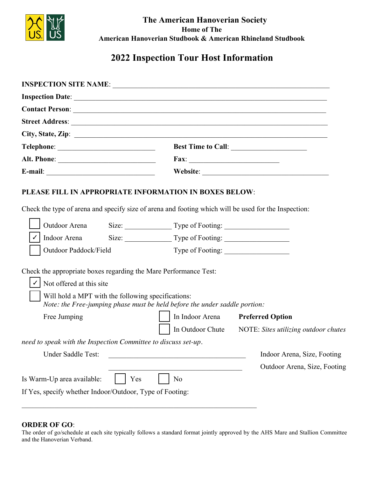

The American Hanoverian Society **Home of The** American Hanoverian Studbook & American Rhineland Studbook

# 2022 Inspection Tour Host Information

| <b>INSPECTION SITE NAME: Blackwatch Stables</b>        |                                                                                                                                                                                                                                                                                                                                                                                                                                                    |
|--------------------------------------------------------|----------------------------------------------------------------------------------------------------------------------------------------------------------------------------------------------------------------------------------------------------------------------------------------------------------------------------------------------------------------------------------------------------------------------------------------------------|
| Inspection Date: September 24,2022                     |                                                                                                                                                                                                                                                                                                                                                                                                                                                    |
| <b>Contact Person: Kate Dressel</b>                    |                                                                                                                                                                                                                                                                                                                                                                                                                                                    |
| Street Address: 1931 Highway 191                       |                                                                                                                                                                                                                                                                                                                                                                                                                                                    |
| City, State, Zip: Danielsville, GA 30633               |                                                                                                                                                                                                                                                                                                                                                                                                                                                    |
| Telephone: 203 376-8419                                | Best Time to Call: 8 a.m. to 8 p.m.                                                                                                                                                                                                                                                                                                                                                                                                                |
|                                                        | Fax: $\frac{1}{\sqrt{1-\frac{1}{2}} \cdot \frac{1}{2} \cdot \frac{1}{2} \cdot \frac{1}{2} \cdot \frac{1}{2} \cdot \frac{1}{2} \cdot \frac{1}{2} \cdot \frac{1}{2} \cdot \frac{1}{2} \cdot \frac{1}{2} \cdot \frac{1}{2} \cdot \frac{1}{2} \cdot \frac{1}{2} \cdot \frac{1}{2} \cdot \frac{1}{2} \cdot \frac{1}{2} \cdot \frac{1}{2} \cdot \frac{1}{2} \cdot \frac{1}{2} \cdot \frac{1}{2} \cdot \frac{1}{2} \cdot \frac{1}{2} \cdot \frac{1}{2} \$ |
| E-mail: info@blackwatchstables.com                     | Website: www.blackwatchstables.com                                                                                                                                                                                                                                                                                                                                                                                                                 |
| PLEASE FILL IN APPROPRIATE INFORMATION IN BOXES BELOW: |                                                                                                                                                                                                                                                                                                                                                                                                                                                    |

Check the type of arena and specify size of arena and footing which will be used for the Inspection:

| Outdoor Arena                                                    | Size:                                              | Type of Footing:                                                           |                                      |
|------------------------------------------------------------------|----------------------------------------------------|----------------------------------------------------------------------------|--------------------------------------|
| Indoor Arena                                                     | Size: 100x200                                      | Type of Footing: geotextile                                                |                                      |
| Outdoor Paddock/Field                                            |                                                    | Type of Footing:                                                           |                                      |
| Check the appropriate boxes regarding the Mare Performance Test: |                                                    |                                                                            |                                      |
| Not offered at this site                                         |                                                    |                                                                            |                                      |
|                                                                  | Will hold a MPT with the following specifications: | Note: the Free-jumping phase must be held before the under saddle portion: |                                      |
| Free Jumping                                                     |                                                    | In Indoor Arena                                                            | <b>Preferred Option</b>              |
|                                                                  |                                                    | In Outdoor Chute                                                           | NOTE: Sites utilizing outdoor chutes |
| need to speak with the Inspection Committee to discuss set-up.   |                                                    |                                                                            |                                      |
| Under Saddle Test:                                               |                                                    |                                                                            | Indoor Arena, Size, Footing          |
|                                                                  |                                                    |                                                                            | Outdoor Arena, Size, Footing         |
| Is Warm-Up area available:                                       | Yes                                                | No                                                                         |                                      |
| If Yes, specify whether Indoor/Outdoor, Type of Footing:         |                                                    |                                                                            |                                      |
|                                                                  |                                                    |                                                                            |                                      |

## **ORDER OF GO:**

The order of go/schedule at each site typically follows a standard format jointly approved by the AHS Mare and Stallion Committee and the Hanoverian Verband.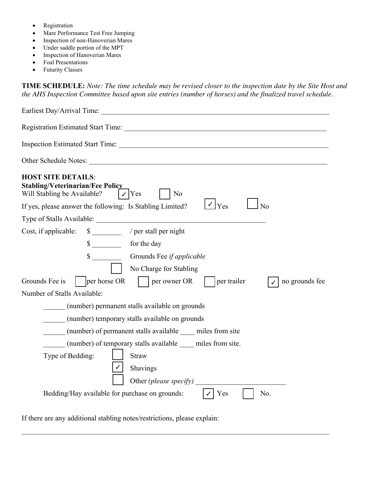- **Registration**
- Mare Performance Test Free Jumping
- Inspection of non-Hanoverian Mares
- Under saddle portion of the MPT
- Inspection of Hanoverian Mares
- Foal Presentations
- **Futurity Classes**

**TIME SCHEDULE:** Note: The time schedule may be revised closer to the inspection date by the Site Host and *the AHS Inspection Committee based upon site entries (number of horses) and the finalized travel schedule.* 

 $\rm{Earliest~Day/Arrival~Time}$ : <code>noon,</code> day before, unless advance approval by BWS Registration Estimated Start Time:  $\frac{8 \text{ a.m.}}{2}$ Inspection Estimated Start Time:  $9:00-9:30$  a.m Other Schedule Notes: times subject to # of entries and judges' travel time **HOST SITE DETAILS: 6 Stabling/Veterinarian/Fee Policy**<br>Will Stabling be Available? Will Stabling be Available?  $\vert \cdot \vert$  Yes  $\vert \cdot \vert$  No If yes, please answer the following: Is Stabling Limited?  $\bigcup Y$ es  $\bigcup N$ o Type of Stalls Available: Limited # of standard & foaling stalls Cost, if applicable:  $$^{55/85}$  / per stall per night for the day \$ \_\_\_\_\_\_\_\_ Grounds Fee *if applicable* No Charge for Stabling Grounds Fee is  $\begin{array}{|c|c|c|c|c|c|} \hline \end{array}$  per owner OR  $\begin{array}{|c|c|c|c|c|c|c|c|} \hline \end{array}$  per trailer  $\begin{array}{|c|c|c|c|c|c|c|c|} \hline \end{array}$  no grounds fee Number of Stalls Available: \_\_\_\_\_\_ (number) permanent stalls available on grounds \_\_\_\_\_\_ (number) temporary stalls available on grounds \_\_\_\_\_\_ (number) of permanent stalls available \_\_\_\_ miles from site \_\_\_\_\_\_ (number) of temporary stalls available \_\_\_\_ miles from site. Type of Bedding:  $\vert$  Straw Shavings Other *(please specify)* Bedding/Hay available for purchase on grounds:  $| \cdot \rangle$  Yes No.  $\frac{8}{10}$  55/85  $\frac{1}{3}$  55/85 11

If there are any additional stabling notes/restrictions, please explain: additional 12x14 run-ins w/attached apprx. 40x50' paddocks available for mare/foal combos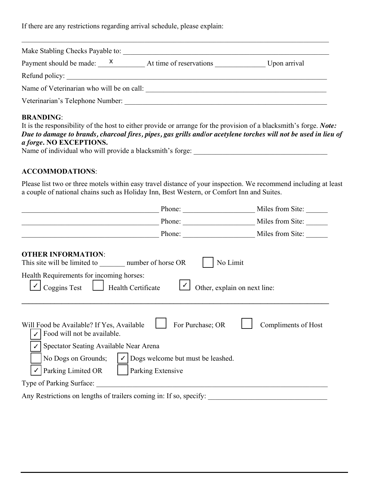If there are any restrictions regarding arrival schedule, please explain: stabling noon the day before to 6:00 pm inspection day unless prior approval by BWS

|                                               | Make Stabling Checks Payable to: Black Watch Stables, LLC                                               |              |
|-----------------------------------------------|---------------------------------------------------------------------------------------------------------|--------------|
| Payment should be made: $\frac{x}{x}$         | At time of reservations<br>Refund policy: Full refund if canceled 3 weeks prior. No refunds thereafter. | Upon arrival |
|                                               | Name of Veterinarian who will be on call: Dr . Wanda Thompson                                           |              |
| Veterinarian's Telephone Number: 706-498-2464 |                                                                                                         |              |

## BRANDING:

| Veterinarian's Telephone Number: 706-498-2464                                                                                                                                                                                         |                            |
|---------------------------------------------------------------------------------------------------------------------------------------------------------------------------------------------------------------------------------------|----------------------------|
| <b>BRANDING:</b>                                                                                                                                                                                                                      |                            |
| It is the responsibility of the host to either provide or arrange for the provision of a blacksmith's forge. Note:<br>Due to damage to brands, charcoal fires, pipes, gas grills and/or acetylene torches will not be used in lieu of |                            |
| a forge. NO EXCEPTIONS.                                                                                                                                                                                                               |                            |
| Name of individual who will provide a blacksmith's forge:                                                                                                                                                                             | <b>Black Watch Stables</b> |

#### ACCOMMODATIONS:

Please list two or three motels within easy travel distance of your inspection. We recommend including at least a couple of national chains such as Holiday Inn, Best Western, or Comfort Inn and Suites.

| Days Inn                                                                                                                                                                                         | 762-847-7100<br>Phone:                                                     | Miles from Site: 12                    |
|--------------------------------------------------------------------------------------------------------------------------------------------------------------------------------------------------|----------------------------------------------------------------------------|----------------------------------------|
| Wingate                                                                                                                                                                                          | Phone: 706-995-4000                                                        | Miles from Site: 19                    |
| Hampton Inn                                                                                                                                                                                      | Phone: 706-335-6161                                                        | Miles from Site: 20                    |
| <b>OTHER INFORMATION:</b><br>This site will be limited to 15                                                                                                                                     | No Limit<br>number of horse OR                                             |                                        |
| Health Requirements for incoming horses:<br><b>Coggins Test</b><br>Health Certificate<br>List of current vaccinations/dates. State requires health certificate if trailering across state lines. | Other, explain on next line:                                               |                                        |
| Will Food be Available? If Yes, Available<br>Food will not be available.<br>Spectator Seating Available Near Arena<br>No Dogs on Grounds;<br>Parking Limited OR                                  | For Purchase; OR<br>Dogs welcome but must be leashed.<br>Parking Extensive | Compliments of Host                    |
| Type of Parking Surface: gravel, grass                                                                                                                                                           |                                                                            |                                        |
| Any Restrictions on lengths of trailers coming in: If so, specify:                                                                                                                               |                                                                            | 30' easy. Larger, please call so we ca |